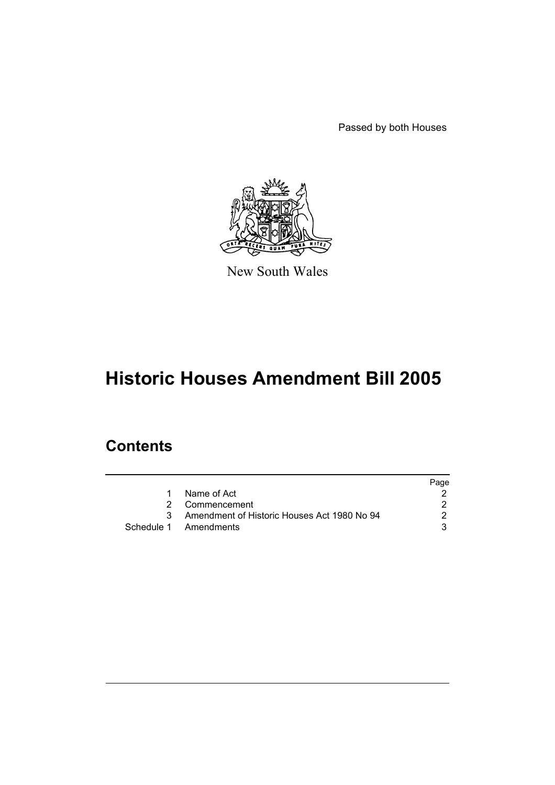Passed by both Houses



New South Wales

# **Historic Houses Amendment Bill 2005**

# **Contents**

|                                             | Page |
|---------------------------------------------|------|
| Name of Act                                 |      |
| 2 Commencement                              |      |
| Amendment of Historic Houses Act 1980 No 94 |      |
| Schedule 1 Amendments                       |      |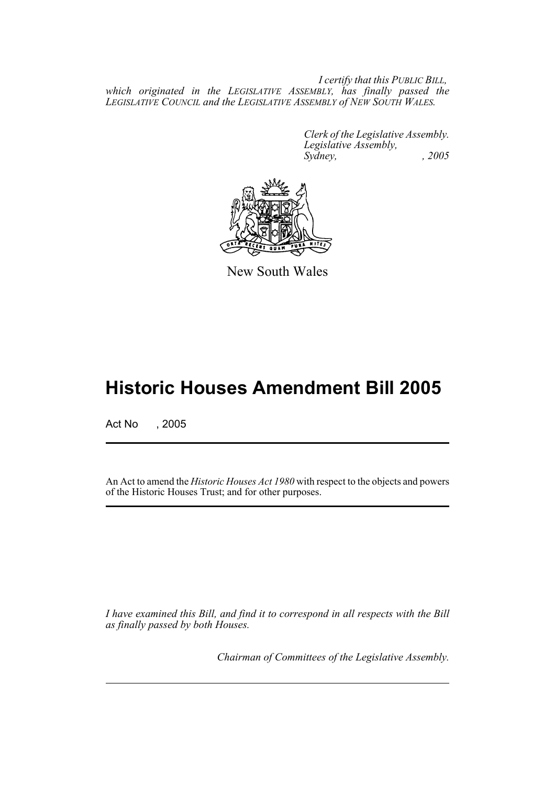*I certify that this PUBLIC BILL, which originated in the LEGISLATIVE ASSEMBLY, has finally passed the LEGISLATIVE COUNCIL and the LEGISLATIVE ASSEMBLY of NEW SOUTH WALES.*

> *Clerk of the Legislative Assembly. Legislative Assembly, Sydney, , 2005*



New South Wales

# **Historic Houses Amendment Bill 2005**

Act No , 2005

An Act to amend the *Historic Houses Act 1980* with respect to the objects and powers of the Historic Houses Trust; and for other purposes.

*I have examined this Bill, and find it to correspond in all respects with the Bill as finally passed by both Houses.*

*Chairman of Committees of the Legislative Assembly.*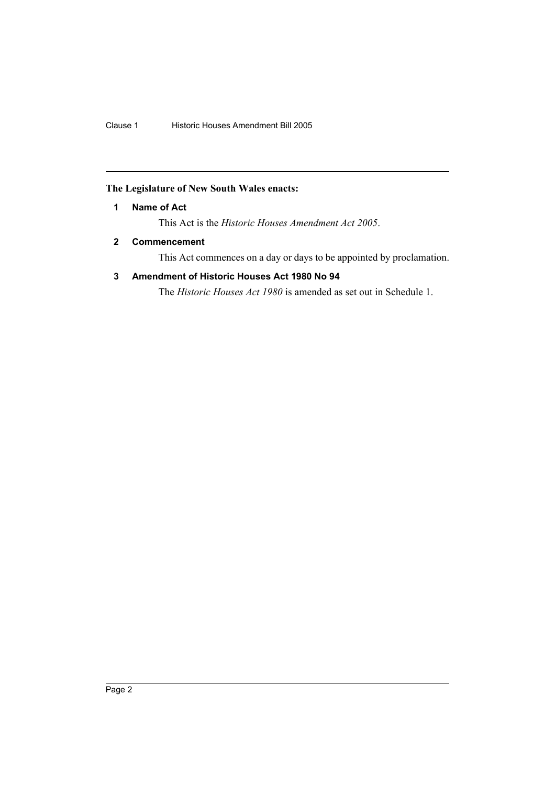## **The Legislature of New South Wales enacts:**

## **1 Name of Act**

This Act is the *Historic Houses Amendment Act 2005*.

## **2 Commencement**

This Act commences on a day or days to be appointed by proclamation.

## **3 Amendment of Historic Houses Act 1980 No 94**

The *Historic Houses Act 1980* is amended as set out in Schedule 1.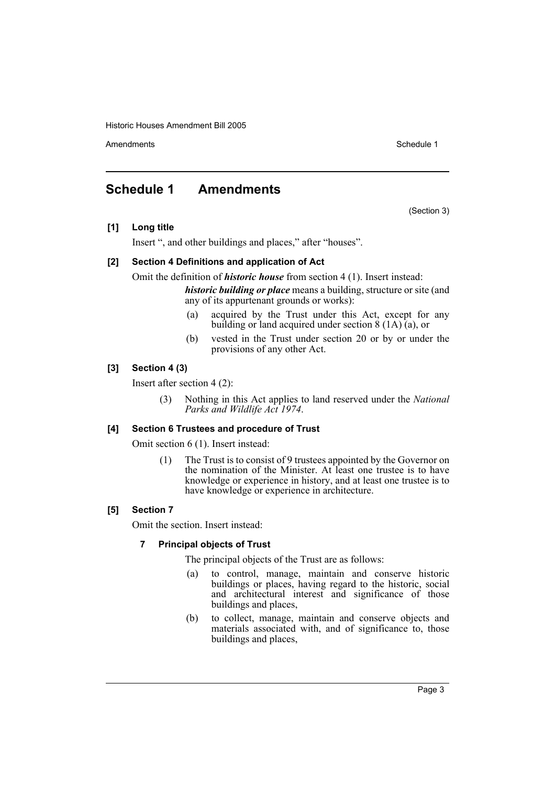Amendments **Schedule 1** and the set of the set of the set of the set of the set of the set of the set of the set of the set of the set of the set of the set of the set of the set of the set of the set of the set of the set

(Section 3)

# **Schedule 1 Amendments**

**[1] Long title**

Insert ", and other buildings and places," after "houses".

#### **[2] Section 4 Definitions and application of Act**

Omit the definition of *historic house* from section 4 (1). Insert instead:

*historic building or place* means a building, structure or site (and any of its appurtenant grounds or works):

- (a) acquired by the Trust under this Act, except for any building or land acquired under section  $\frac{8(1A)}{(a)}$ , or
- (b) vested in the Trust under section 20 or by or under the provisions of any other Act.

#### **[3] Section 4 (3)**

Insert after section 4 (2):

(3) Nothing in this Act applies to land reserved under the *National Parks and Wildlife Act 1974*.

#### **[4] Section 6 Trustees and procedure of Trust**

Omit section 6 (1). Insert instead:

(1) The Trust is to consist of 9 trustees appointed by the Governor on the nomination of the Minister. At least one trustee is to have knowledge or experience in history, and at least one trustee is to have knowledge or experience in architecture.

#### **[5] Section 7**

Omit the section. Insert instead:

#### **7 Principal objects of Trust**

The principal objects of the Trust are as follows:

- (a) to control, manage, maintain and conserve historic buildings or places, having regard to the historic, social and architectural interest and significance of those buildings and places,
- (b) to collect, manage, maintain and conserve objects and materials associated with, and of significance to, those buildings and places,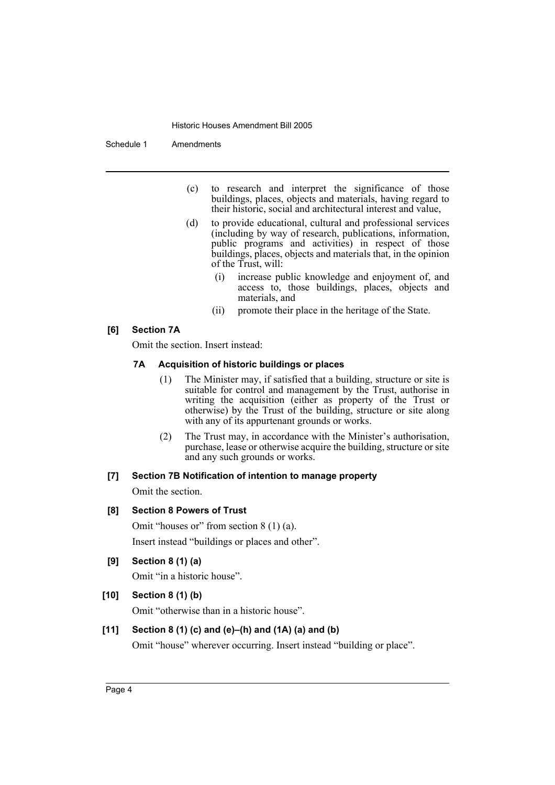Schedule 1 Amendments

- (c) to research and interpret the significance of those buildings, places, objects and materials, having regard to their historic, social and architectural interest and value,
- (d) to provide educational, cultural and professional services (including by way of research, publications, information, public programs and activities) in respect of those buildings, places, objects and materials that, in the opinion of the Trust, will:
	- (i) increase public knowledge and enjoyment of, and access to, those buildings, places, objects and materials, and
	- (ii) promote their place in the heritage of the State.

#### **[6] Section 7A**

Omit the section. Insert instead:

### **7A Acquisition of historic buildings or places**

- (1) The Minister may, if satisfied that a building, structure or site is suitable for control and management by the Trust, authorise in writing the acquisition (either as property of the Trust or otherwise) by the Trust of the building, structure or site along with any of its appurtenant grounds or works.
- (2) The Trust may, in accordance with the Minister's authorisation, purchase, lease or otherwise acquire the building, structure or site and any such grounds or works.

#### **[7] Section 7B Notification of intention to manage property**

Omit the section.

#### **[8] Section 8 Powers of Trust**

Omit "houses or" from section 8 (1) (a). Insert instead "buildings or places and other".

#### **[9] Section 8 (1) (a)**

Omit "in a historic house".

### **[10] Section 8 (1) (b)**

Omit "otherwise than in a historic house".

### **[11] Section 8 (1) (c) and (e)–(h) and (1A) (a) and (b)**

Omit "house" wherever occurring. Insert instead "building or place".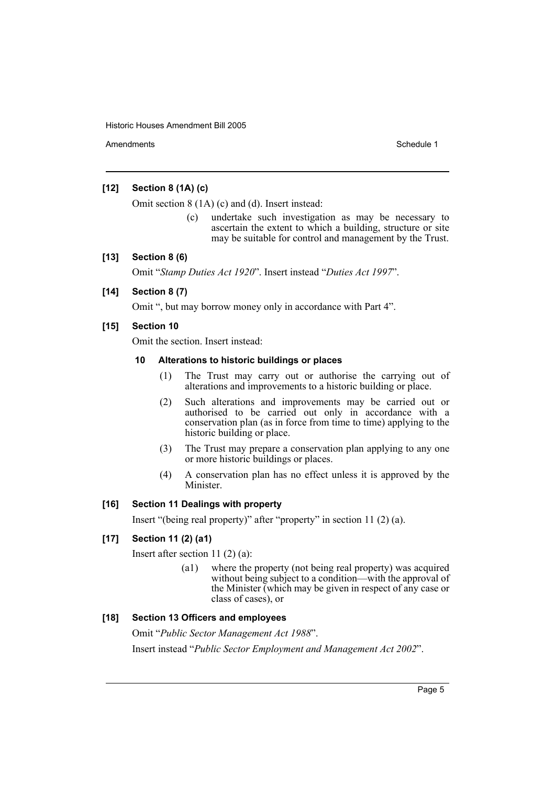Amendments **Schedule 1** and the set of the set of the set of the set of the set of the set of the set of the set of the set of the set of the set of the set of the set of the set of the set of the set of the set of the set

### **[12] Section 8 (1A) (c)**

Omit section 8 (1A) (c) and (d). Insert instead:

(c) undertake such investigation as may be necessary to ascertain the extent to which a building, structure or site may be suitable for control and management by the Trust.

#### **[13] Section 8 (6)**

Omit "*Stamp Duties Act 1920*". Insert instead "*Duties Act 1997*".

## **[14] Section 8 (7)**

Omit ", but may borrow money only in accordance with Part 4".

#### **[15] Section 10**

Omit the section. Insert instead:

#### **10 Alterations to historic buildings or places**

- (1) The Trust may carry out or authorise the carrying out of alterations and improvements to a historic building or place.
- (2) Such alterations and improvements may be carried out or authorised to be carried out only in accordance with a conservation plan (as in force from time to time) applying to the historic building or place.
- (3) The Trust may prepare a conservation plan applying to any one or more historic buildings or places.
- (4) A conservation plan has no effect unless it is approved by the Minister.

#### **[16] Section 11 Dealings with property**

Insert "(being real property)" after "property" in section 11 (2) (a).

#### **[17] Section 11 (2) (a1)**

Insert after section 11 (2) (a):

(a1) where the property (not being real property) was acquired without being subject to a condition—with the approval of the Minister (which may be given in respect of any case or class of cases), or

#### **[18] Section 13 Officers and employees**

Omit "*Public Sector Management Act 1988*". Insert instead "*Public Sector Employment and Management Act 2002*".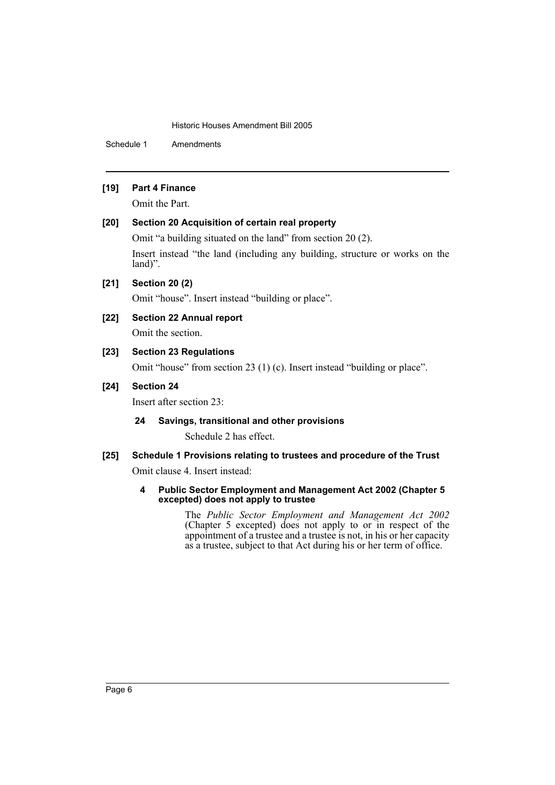Schedule 1 Amendments

#### **[19] Part 4 Finance**

Omit the Part.

### **[20] Section 20 Acquisition of certain real property**

Omit "a building situated on the land" from section 20 (2).

Insert instead "the land (including any building, structure or works on the land)".

**[21] Section 20 (2)**

Omit "house". Insert instead "building or place".

- **[22] Section 22 Annual report** Omit the section.
- **[23] Section 23 Regulations**

Omit "house" from section 23 (1) (c). Insert instead "building or place".

#### **[24] Section 24**

Insert after section 23:

#### **24 Savings, transitional and other provisions**

Schedule 2 has effect.

#### **[25] Schedule 1 Provisions relating to trustees and procedure of the Trust**

Omit clause 4. Insert instead:

**4 Public Sector Employment and Management Act 2002 (Chapter 5 excepted) does not apply to trustee**

> The *Public Sector Employment and Management Act 2002* (Chapter 5 excepted) does not apply to or in respect of the appointment of a trustee and a trustee is not, in his or her capacity as a trustee, subject to that Act during his or her term of office.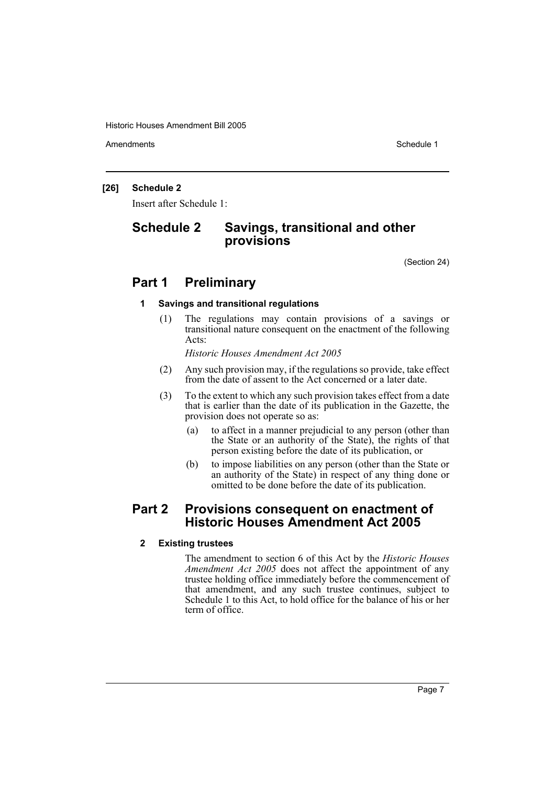Amendments **Schedule 1** and the set of the set of the set of the set of the set of the set of the set of the set of the set of the set of the set of the set of the set of the set of the set of the set of the set of the set

#### **[26] Schedule 2**

Insert after Schedule 1:

# **Schedule 2 Savings, transitional and other provisions**

(Section 24)

# **Part 1 Preliminary**

#### **1 Savings and transitional regulations**

(1) The regulations may contain provisions of a savings or transitional nature consequent on the enactment of the following Acts:

*Historic Houses Amendment Act 2005*

- (2) Any such provision may, if the regulations so provide, take effect from the date of assent to the Act concerned or a later date.
- (3) To the extent to which any such provision takes effect from a date that is earlier than the date of its publication in the Gazette, the provision does not operate so as:
	- (a) to affect in a manner prejudicial to any person (other than the State or an authority of the State), the rights of that person existing before the date of its publication, or
	- (b) to impose liabilities on any person (other than the State or an authority of the State) in respect of any thing done or omitted to be done before the date of its publication.

## **Part 2 Provisions consequent on enactment of Historic Houses Amendment Act 2005**

#### **2 Existing trustees**

The amendment to section 6 of this Act by the *Historic Houses Amendment Act 2005* does not affect the appointment of any trustee holding office immediately before the commencement of that amendment, and any such trustee continues, subject to Schedule 1 to this Act, to hold office for the balance of his or her term of office.